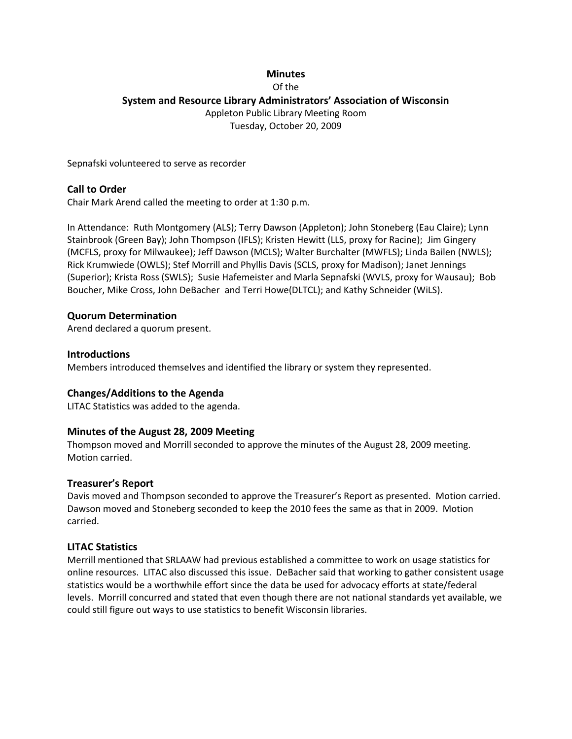## **Minutes** Of the **System and Resource Library Administrators' Association of Wisconsin** Appleton Public Library Meeting Room Tuesday, October 20, 2009

Sepnafski volunteered to serve as recorder

## **Call to Order**

Chair Mark Arend called the meeting to order at 1:30 p.m.

In Attendance: Ruth Montgomery (ALS); Terry Dawson (Appleton); John Stoneberg (Eau Claire); Lynn Stainbrook (Green Bay); John Thompson (IFLS); Kristen Hewitt (LLS, proxy for Racine); Jim Gingery (MCFLS, proxy for Milwaukee); Jeff Dawson (MCLS); Walter Burchalter (MWFLS); Linda Bailen (NWLS); Rick Krumwiede (OWLS); Stef Morrill and Phyllis Davis (SCLS, proxy for Madison); Janet Jennings (Superior); Krista Ross (SWLS); Susie Hafemeister and Marla Sepnafski (WVLS, proxy for Wausau); Bob Boucher, Mike Cross, John DeBacher and Terri Howe(DLTCL); and Kathy Schneider (WiLS).

## **Quorum Determination**

Arend declared a quorum present.

#### **Introductions**

Members introduced themselves and identified the library or system they represented.

#### **Changes/Additions to the Agenda**

LITAC Statistics was added to the agenda.

#### **Minutes of the August 28, 2009 Meeting**

Thompson moved and Morrill seconded to approve the minutes of the August 28, 2009 meeting. Motion carried.

#### **Treasurer's Report**

Davis moved and Thompson seconded to approve the Treasurer's Report as presented. Motion carried. Dawson moved and Stoneberg seconded to keep the 2010 fees the same as that in 2009. Motion carried.

#### **LITAC Statistics**

Merrill mentioned that SRLAAW had previous established a committee to work on usage statistics for online resources. LITAC also discussed this issue. DeBacher said that working to gather consistent usage statistics would be a worthwhile effort since the data be used for advocacy efforts at state/federal levels. Morrill concurred and stated that even though there are not national standards yet available, we could still figure out ways to use statistics to benefit Wisconsin libraries.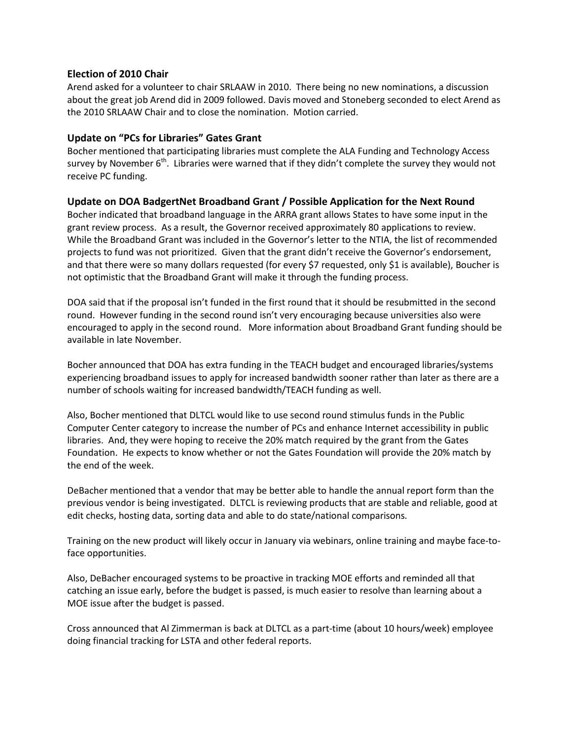## **Election of 2010 Chair**

Arend asked for a volunteer to chair SRLAAW in 2010. There being no new nominations, a discussion about the great job Arend did in 2009 followed. Davis moved and Stoneberg seconded to elect Arend as the 2010 SRLAAW Chair and to close the nomination. Motion carried.

## **Update on "PCs for Libraries" Gates Grant**

Bocher mentioned that participating libraries must complete the ALA Funding and Technology Access survey by November  $6<sup>th</sup>$ . Libraries were warned that if they didn't complete the survey they would not receive PC funding.

## **Update on DOA BadgertNet Broadband Grant / Possible Application for the Next Round**

Bocher indicated that broadband language in the ARRA grant allows States to have some input in the grant review process. As a result, the Governor received approximately 80 applications to review. While the Broadband Grant was included in the Governor's letter to the NTIA, the list of recommended projects to fund was not prioritized. Given that the grant didn't receive the Governor's endorsement, and that there were so many dollars requested (for every \$7 requested, only \$1 is available), Boucher is not optimistic that the Broadband Grant will make it through the funding process.

DOA said that if the proposal isn't funded in the first round that it should be resubmitted in the second round. However funding in the second round isn't very encouraging because universities also were encouraged to apply in the second round. More information about Broadband Grant funding should be available in late November.

Bocher announced that DOA has extra funding in the TEACH budget and encouraged libraries/systems experiencing broadband issues to apply for increased bandwidth sooner rather than later as there are a number of schools waiting for increased bandwidth/TEACH funding as well.

Also, Bocher mentioned that DLTCL would like to use second round stimulus funds in the Public Computer Center category to increase the number of PCs and enhance Internet accessibility in public libraries. And, they were hoping to receive the 20% match required by the grant from the Gates Foundation. He expects to know whether or not the Gates Foundation will provide the 20% match by the end of the week.

DeBacher mentioned that a vendor that may be better able to handle the annual report form than the previous vendor is being investigated. DLTCL is reviewing products that are stable and reliable, good at edit checks, hosting data, sorting data and able to do state/national comparisons.

Training on the new product will likely occur in January via webinars, online training and maybe face-toface opportunities.

Also, DeBacher encouraged systems to be proactive in tracking MOE efforts and reminded all that catching an issue early, before the budget is passed, is much easier to resolve than learning about a MOE issue after the budget is passed.

Cross announced that Al Zimmerman is back at DLTCL as a part-time (about 10 hours/week) employee doing financial tracking for LSTA and other federal reports.